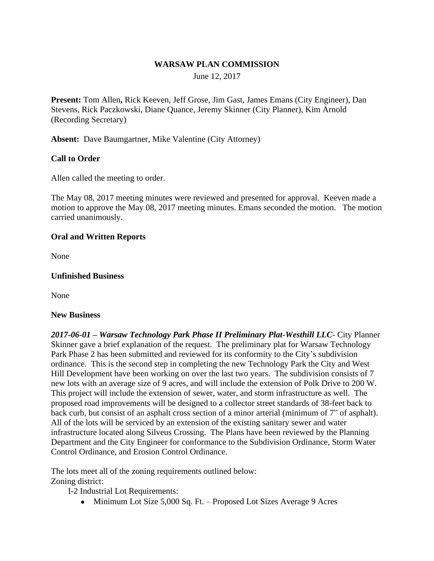### **WARSAW PLAN COMMISSION**

June 12, 2017

**Present:** Tom Allen**,** Rick Keeven, Jeff Grose, Jim Gast, James Emans (City Engineer), Dan Stevens, Rick Paczkowski, Diane Quance, Jeremy Skinner (City Planner), Kim Arnold (Recording Secretary)

**Absent:** Dave Baumgartner, Mike Valentine (City Attorney)

## **Call to Order**

Allen called the meeting to order.

The May 08, 2017 meeting minutes were reviewed and presented for approval. Keeven made a motion to approve the May 08, 2017 meeting minutes. Emans seconded the motion. The motion carried unanimously.

#### **Oral and Written Reports**

None

#### **Unfinished Business**

None

#### **New Business**

*2017-06-01 – Warsaw Technology Park Phase II Preliminary Plat-Westhill LLC*- City Planner Skinner gave a brief explanation of the request. The preliminary plat for Warsaw Technology Park Phase 2 has been submitted and reviewed for its conformity to the City's subdivision ordinance. This is the second step in completing the new Technology Park the City and West Hill Development have been working on over the last two years. The subdivision consists of 7 new lots with an average size of 9 acres, and will include the extension of Polk Drive to 200 W. This project will include the extension of sewer, water, and storm infrastructure as well. The proposed road improvements will be designed to a collector street standards of 38-feet back to back curb, but consist of an asphalt cross section of a minor arterial (minimum of 7" of asphalt). All of the lots will be serviced by an extension of the existing sanitary sewer and water infrastructure located along Silveus Crossing. The Plans have been reviewed by the Planning Department and the City Engineer for conformance to the Subdivision Ordinance, Storm Water Control Ordinance, and Erosion Control Ordinance.

The lots meet all of the zoning requirements outlined below: Zoning district:

I-2 Industrial Lot Requirements:

• Minimum Lot Size 5,000 Sq. Ft. – Proposed Lot Sizes Average 9 Acres